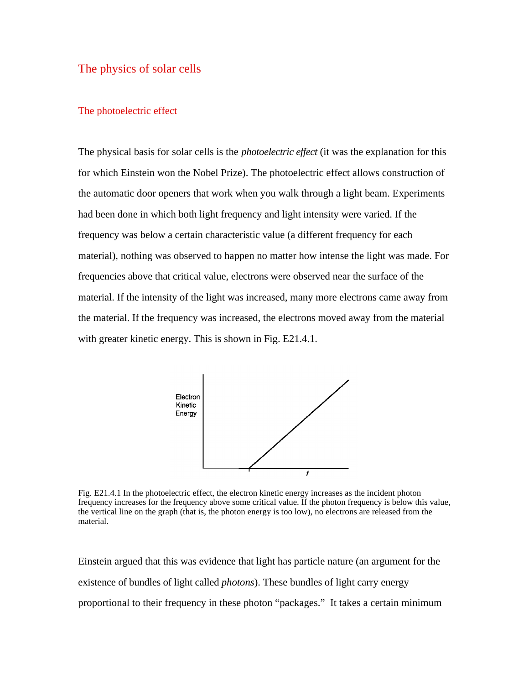# The physics of solar cells

#### The photoelectric effect

The physical basis for solar cells is the *photoelectric effect* (it was the explanation for this for which Einstein won the Nobel Prize). The photoelectric effect allows construction of the automatic door openers that work when you walk through a light beam. Experiments had been done in which both light frequency and light intensity were varied. If the frequency was below a certain characteristic value (a different frequency for each material), nothing was observed to happen no matter how intense the light was made. For frequencies above that critical value, electrons were observed near the surface of the material. If the intensity of the light was increased, many more electrons came away from the material. If the frequency was increased, the electrons moved away from the material with greater kinetic energy. This is shown in Fig. E21.4.1.



Fig. E21.4.1 In the photoelectric effect, the electron kinetic energy increases as the incident photon frequency increases for the frequency above some critical value. If the photon frequency is below this value, the vertical line on the graph (that is, the photon energy is too low), no electrons are released from the material.

Einstein argued that this was evidence that light has particle nature (an argument for the existence of bundles of light called *photons*). These bundles of light carry energy proportional to their frequency in these photon "packages." It takes a certain minimum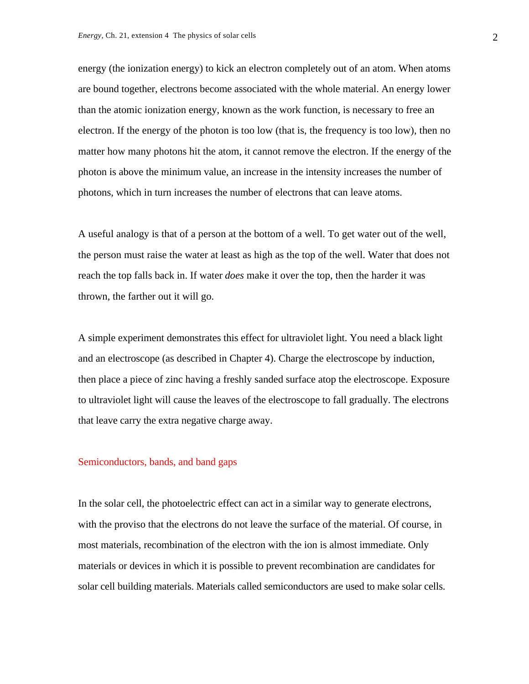energy (the ionization energy) to kick an electron completely out of an atom. When atoms are bound together, electrons become associated with the whole material. An energy lower than the atomic ionization energy, known as the work function, is necessary to free an electron. If the energy of the photon is too low (that is, the frequency is too low), then no matter how many photons hit the atom, it cannot remove the electron. If the energy of the photon is above the minimum value, an increase in the intensity increases the number of photons, which in turn increases the number of electrons that can leave atoms.

A useful analogy is that of a person at the bottom of a well. To get water out of the well, the person must raise the water at least as high as the top of the well. Water that does not reach the top falls back in. If water *does* make it over the top, then the harder it was thrown, the farther out it will go.

A simple experiment demonstrates this effect for ultraviolet light. You need a black light and an electroscope (as described in Chapter 4). Charge the electroscope by induction, then place a piece of zinc having a freshly sanded surface atop the electroscope. Exposure to ultraviolet light will cause the leaves of the electroscope to fall gradually. The electrons that leave carry the extra negative charge away.

#### Semiconductors, bands, and band gaps

In the solar cell, the photoelectric effect can act in a similar way to generate electrons, with the proviso that the electrons do not leave the surface of the material. Of course, in most materials, recombination of the electron with the ion is almost immediate. Only materials or devices in which it is possible to prevent recombination are candidates for solar cell building materials. Materials called semiconductors are used to make solar cells.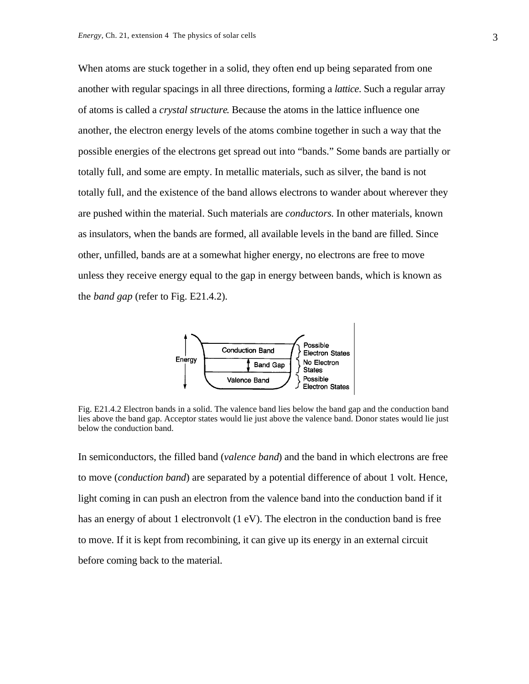When atoms are stuck together in a solid, they often end up being separated from one another with regular spacings in all three directions, forming a *lattice*. Such a regular array of atoms is called a *crystal structure*. Because the atoms in the lattice influence one another, the electron energy levels of the atoms combine together in such a way that the possible energies of the electrons get spread out into "bands." Some bands are partially or totally full, and some are empty. In metallic materials, such as silver, the band is not totally full, and the existence of the band allows electrons to wander about wherever they are pushed within the material. Such materials are *conductors*. In other materials, known as insulators, when the bands are formed, all available levels in the band are filled. Since other, unfilled, bands are at a somewhat higher energy, no electrons are free to move unless they receive energy equal to the gap in energy between bands, which is known as the *band gap* (refer to Fig. E21.4.2).



Fig. E21.4.2 Electron bands in a solid. The valence band lies below the band gap and the conduction band lies above the band gap. Acceptor states would lie just above the valence band. Donor states would lie just below the conduction band.

In semiconductors, the filled band (*valence band*) and the band in which electrons are free to move (*conduction band*) are separated by a potential difference of about 1 volt. Hence, light coming in can push an electron from the valence band into the conduction band if it has an energy of about 1 electronvolt (1 eV). The electron in the conduction band is free to move. If it is kept from recombining, it can give up its energy in an external circuit before coming back to the material.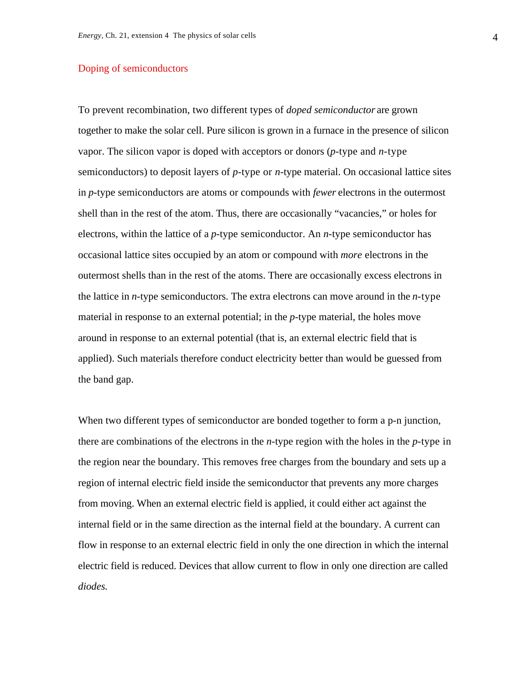### Doping of semiconductors

To prevent recombination, two different types of *doped semiconductor* are grown together to make the solar cell. Pure silicon is grown in a furnace in the presence of silicon vapor. The silicon vapor is doped with acceptors or donors (*p*-type and *n*-type semiconductors) to deposit layers of *p*-type or *n*-type material. On occasional lattice sites in *p*-type semiconductors are atoms or compounds with *fewer* electrons in the outermost shell than in the rest of the atom. Thus, there are occasionally "vacancies," or holes for electrons, within the lattice of a *p*-type semiconductor. An *n*-type semiconductor has occasional lattice sites occupied by an atom or compound with *more* electrons in the outermost shells than in the rest of the atoms. There are occasionally excess electrons in the lattice in *n*-type semiconductors. The extra electrons can move around in the *n*-type material in response to an external potential; in the *p*-type material, the holes move around in response to an external potential (that is, an external electric field that is applied). Such materials therefore conduct electricity better than would be guessed from the band gap.

When two different types of semiconductor are bonded together to form a p-n junction, there are combinations of the electrons in the *n*-type region with the holes in the *p*-type in the region near the boundary. This removes free charges from the boundary and sets up a region of internal electric field inside the semiconductor that prevents any more charges from moving. When an external electric field is applied, it could either act against the internal field or in the same direction as the internal field at the boundary. A current can flow in response to an external electric field in only the one direction in which the internal electric field is reduced. Devices that allow current to flow in only one direction are called *diodes*.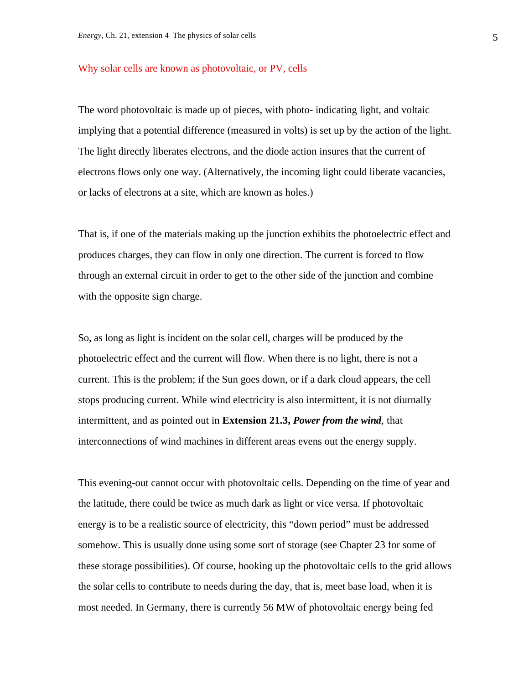#### Why solar cells are known as photovoltaic, or PV, cells

The word photovoltaic is made up of pieces, with photo- indicating light, and voltaic implying that a potential difference (measured in volts) is set up by the action of the light. The light directly liberates electrons, and the diode action insures that the current of electrons flows only one way. (Alternatively, the incoming light could liberate vacancies, or lacks of electrons at a site, which are known as holes.)

That is, if one of the materials making up the junction exhibits the photoelectric effect and produces charges, they can flow in only one direction. The current is forced to flow through an external circuit in order to get to the other side of the junction and combine with the opposite sign charge.

So, as long as light is incident on the solar cell, charges will be produced by the photoelectric effect and the current will flow. When there is no light, there is not a current. This is the problem; if the Sun goes down, or if a dark cloud appears, the cell stops producing current. While wind electricity is also intermittent, it is not diurnally intermittent, and as pointed out in **Extension 21.3,** *Power from the wind*, that interconnections of wind machines in different areas evens out the energy supply.

This evening-out cannot occur with photovoltaic cells. Depending on the time of year and the latitude, there could be twice as much dark as light or vice versa. If photovoltaic energy is to be a realistic source of electricity, this "down period" must be addressed somehow. This is usually done using some sort of storage (see Chapter 23 for some of these storage possibilities). Of course, hooking up the photovoltaic cells to the grid allows the solar cells to contribute to needs during the day, that is, meet base load, when it is most needed. In Germany, there is currently 56 MW of photovoltaic energy being fed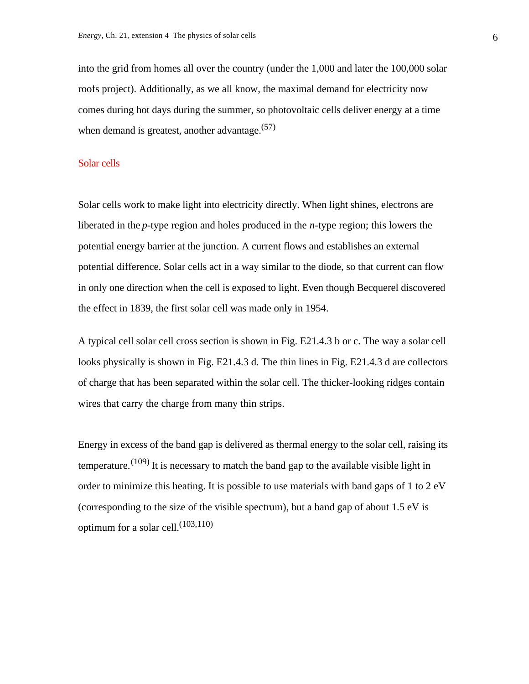into the grid from homes all over the country (under the 1,000 and later the 100,000 solar roofs project). Additionally, as we all know, the maximal demand for electricity now comes during hot days during the summer, so photovoltaic cells deliver energy at a time when demand is greatest, another advantage.<sup>(57)</sup>

### Solar cells

Solar cells work to make light into electricity directly. When light shines, electrons are liberated in the *p*-type region and holes produced in the *n*-type region; this lowers the potential energy barrier at the junction. A current flows and establishes an external potential difference. Solar cells act in a way similar to the diode, so that current can flow in only one direction when the cell is exposed to light. Even though Becquerel discovered the effect in 1839, the first solar cell was made only in 1954.

A typical cell solar cell cross section is shown in Fig. E21.4.3 b or c. The way a solar cell looks physically is shown in Fig. E21.4.3 d. The thin lines in Fig. E21.4.3 d are collectors of charge that has been separated within the solar cell. The thicker-looking ridges contain wires that carry the charge from many thin strips.

Energy in excess of the band gap is delivered as thermal energy to the solar cell, raising its temperature.<sup> $(109)$ </sup> It is necessary to match the band gap to the available visible light in order to minimize this heating. It is possible to use materials with band gaps of 1 to 2 eV (corresponding to the size of the visible spectrum), but a band gap of about 1.5 eV is optimum for a solar cell.<sup>(103,110)</sup>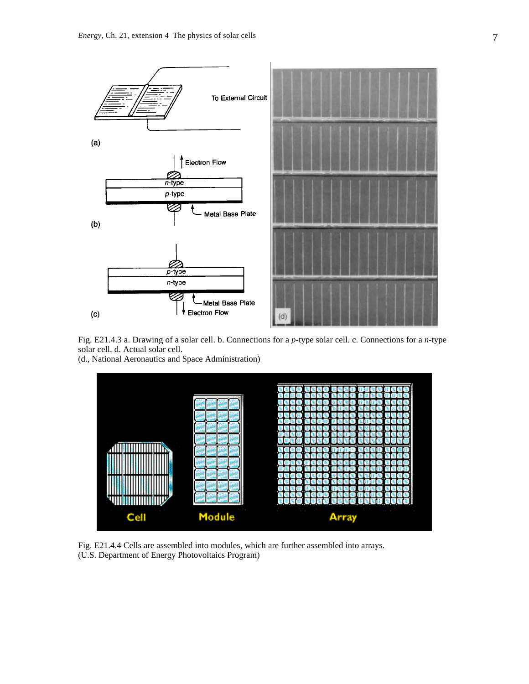

Fig. E21.4.3 a. Drawing of a solar cell. b. Connections for a *p*-type solar cell. c. Connections for a *n*-type solar cell. d. Actual solar cell.





Fig. E21.4.4 Cells are assembled into modules, which are further assembled into arrays. (U.S. Department of Energy Photovoltaics Program)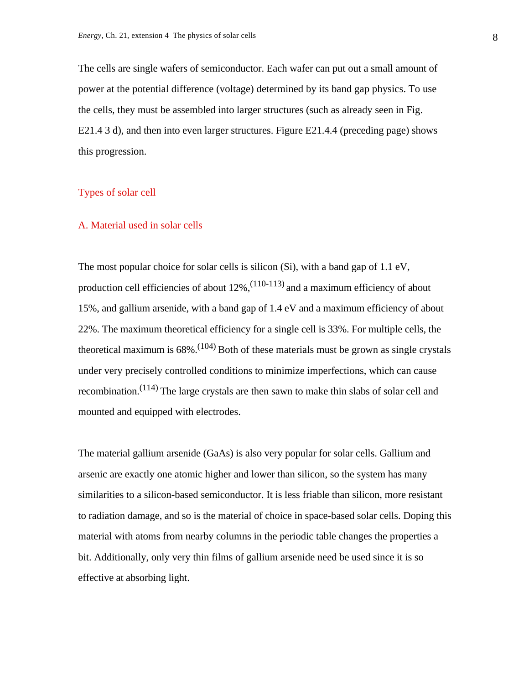The cells are single wafers of semiconductor. Each wafer can put out a small amount of power at the potential difference (voltage) determined by its band gap physics. To use the cells, they must be assembled into larger structures (such as already seen in Fig. E21.4 3 d), and then into even larger structures. Figure E21.4.4 (preceding page) shows this progression.

## Types of solar cell

#### A. Material used in solar cells

The most popular choice for solar cells is silicon (Si), with a band gap of 1.1 eV, production cell efficiencies of about  $12\%$ ,  $(110-113)$  and a maximum efficiency of about 15%, and gallium arsenide, with a band gap of 1.4 eV and a maximum efficiency of about 22%. The maximum theoretical efficiency for a single cell is 33%. For multiple cells, the theoretical maximum is  $68\%$ .<sup>(104)</sup> Both of these materials must be grown as single crystals under very precisely controlled conditions to minimize imperfections, which can cause recombination.<sup> $(114)$ </sup> The large crystals are then sawn to make thin slabs of solar cell and mounted and equipped with electrodes.

The material gallium arsenide (GaAs) is also very popular for solar cells. Gallium and arsenic are exactly one atomic higher and lower than silicon, so the system has many similarities to a silicon-based semiconductor. It is less friable than silicon, more resistant to radiation damage, and so is the material of choice in space-based solar cells. Doping this material with atoms from nearby columns in the periodic table changes the properties a bit. Additionally, only very thin films of gallium arsenide need be used since it is so effective at absorbing light.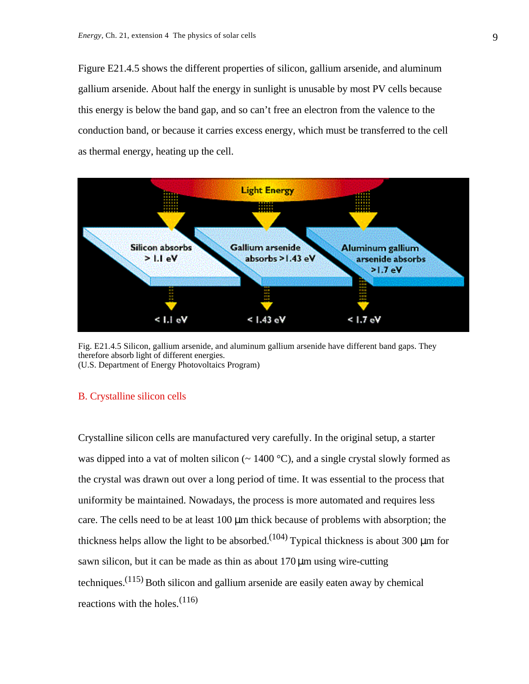Figure E21.4.5 shows the different properties of silicon, gallium arsenide, and aluminum gallium arsenide. About half the energy in sunlight is unusable by most PV cells because this energy is below the band gap, and so can't free an electron from the valence to the conduction band, or because it carries excess energy, which must be transferred to the cell as thermal energy, heating up the cell.



Fig. E21.4.5 Silicon, gallium arsenide, and aluminum gallium arsenide have different band gaps. They therefore absorb light of different energies. (U.S. Department of Energy Photovoltaics Program)

## B. Crystalline silicon cells

Crystalline silicon cells are manufactured very carefully. In the original setup, a starter was dipped into a vat of molten silicon  $($   $\sim$  1400 °C), and a single crystal slowly formed as the crystal was drawn out over a long period of time. It was essential to the process that uniformity be maintained. Nowadays, the process is more automated and requires less care. The cells need to be at least 100 μm thick because of problems with absorption; the thickness helps allow the light to be absorbed.<sup>(104)</sup> Typical thickness is about 300  $\mu$ m for sawn silicon, but it can be made as thin as about 170 μm using wire-cutting techniques. $(115)$  Both silicon and gallium arsenide are easily eaten away by chemical reactions with the holes.  $(116)$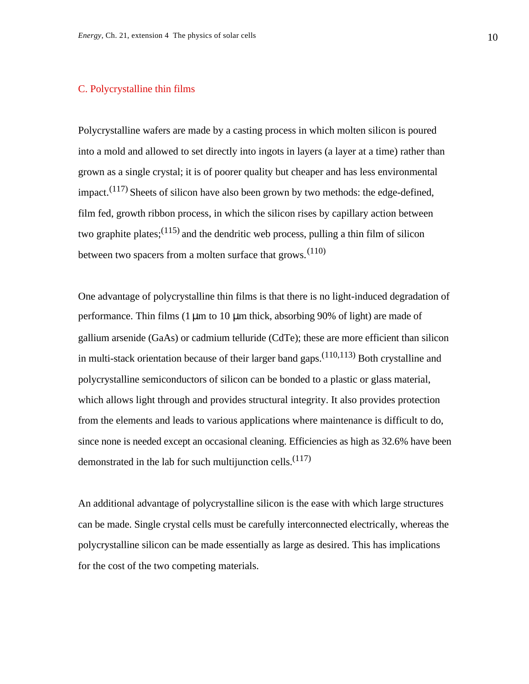#### C. Polycrystalline thin films

Polycrystalline wafers are made by a casting process in which molten silicon is poured into a mold and allowed to set directly into ingots in layers (a layer at a time) rather than grown as a single crystal; it is of poorer quality but cheaper and has less environmental impact.<sup> $(117)$ </sup> Sheets of silicon have also been grown by two methods: the edge-defined, film fed, growth ribbon process, in which the silicon rises by capillary action between two graphite plates;  $(115)$  and the dendritic web process, pulling a thin film of silicon between two spacers from a molten surface that grows.<sup>(110)</sup>

One advantage of polycrystalline thin films is that there is no light-induced degradation of performance. Thin films  $(1 \mu m)$  to  $10 \mu m$  thick, absorbing 90% of light) are made of gallium arsenide (GaAs) or cadmium telluride (CdTe); these are more efficient than silicon in multi-stack orientation because of their larger band gaps.<sup>(110,113)</sup> Both crystalline and polycrystalline semiconductors of silicon can be bonded to a plastic or glass material, which allows light through and provides structural integrity. It also provides protection from the elements and leads to various applications where maintenance is difficult to do, since none is needed except an occasional cleaning. Efficiencies as high as 32.6% have been demonstrated in the lab for such multijunction cells.  $(117)$ 

An additional advantage of polycrystalline silicon is the ease with which large structures can be made. Single crystal cells must be carefully interconnected electrically, whereas the polycrystalline silicon can be made essentially as large as desired. This has implications for the cost of the two competing materials.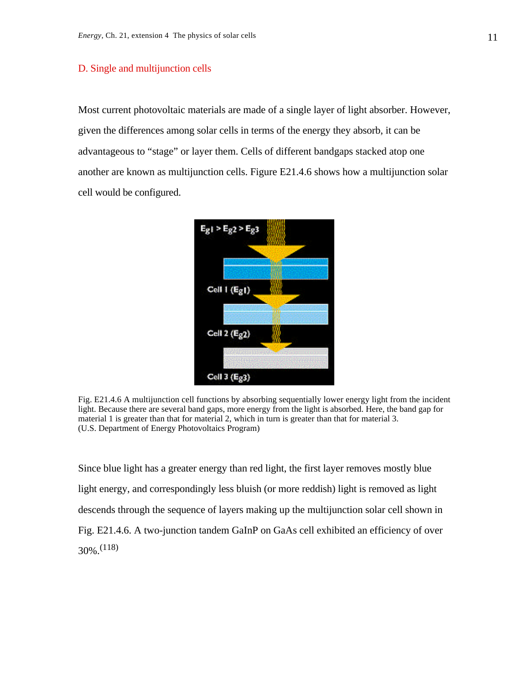# D. Single and multijunction cells

Most current photovoltaic materials are made of a single layer of light absorber. However, given the differences among solar cells in terms of the energy they absorb, it can be advantageous to "stage" or layer them. Cells of different bandgaps stacked atop one another are known as multijunction cells. Figure E21.4.6 shows how a multijunction solar cell would be configured.



Fig. E21.4.6 A multijunction cell functions by absorbing sequentially lower energy light from the incident light. Because there are several band gaps, more energy from the light is absorbed. Here, the band gap for material 1 is greater than that for material 2, which in turn is greater than that for material 3. (U.S. Department of Energy Photovoltaics Program)

Since blue light has a greater energy than red light, the first layer removes mostly blue light energy, and correspondingly less bluish (or more reddish) light is removed as light descends through the sequence of layers making up the multijunction solar cell shown in Fig. E21.4.6. A two-junction tandem GaInP on GaAs cell exhibited an efficiency of over 30%.(118)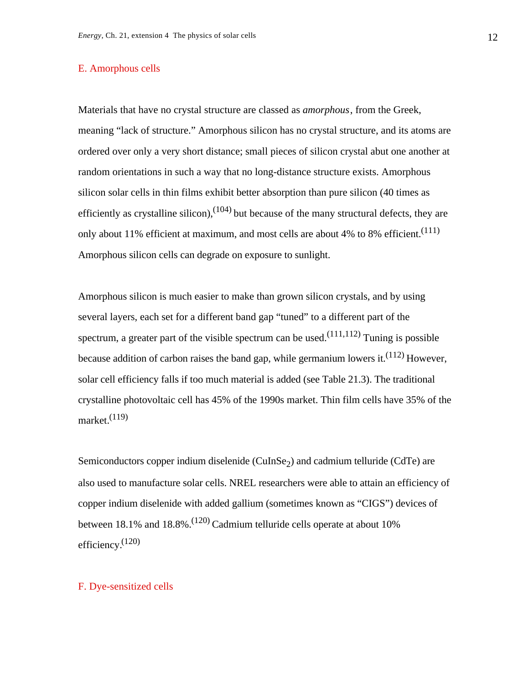# E. Amorphous cells

Materials that have no crystal structure are classed as *amorphous*, from the Greek, meaning "lack of structure." Amorphous silicon has no crystal structure, and its atoms are ordered over only a very short distance; small pieces of silicon crystal abut one another at random orientations in such a way that no long-distance structure exists. Amorphous silicon solar cells in thin films exhibit better absorption than pure silicon (40 times as efficiently as crystalline silicon),  $(104)$  but because of the many structural defects, they are only about 11% efficient at maximum, and most cells are about 4% to 8% efficient.  $(111)$ Amorphous silicon cells can degrade on exposure to sunlight.

Amorphous silicon is much easier to make than grown silicon crystals, and by using several layers, each set for a different band gap "tuned" to a different part of the spectrum, a greater part of the visible spectrum can be used.<sup> $(111,112)$ </sup> Tuning is possible because addition of carbon raises the band gap, while germanium lowers it.<sup> $(112)$ </sup> However, solar cell efficiency falls if too much material is added (see Table 21.3). The traditional crystalline photovoltaic cell has 45% of the 1990s market. Thin film cells have 35% of the market.(119)

Semiconductors copper indium diselenide (CuInSe<sub>2</sub>) and cadmium telluride (CdTe) are also used to manufacture solar cells. NREL researchers were able to attain an efficiency of copper indium diselenide with added gallium (sometimes known as "CIGS") devices of between 18.1% and 18.8%.<sup> $(120)$ </sup> Cadmium telluride cells operate at about 10% efficiency.(120)

#### F. Dye-sensitized cells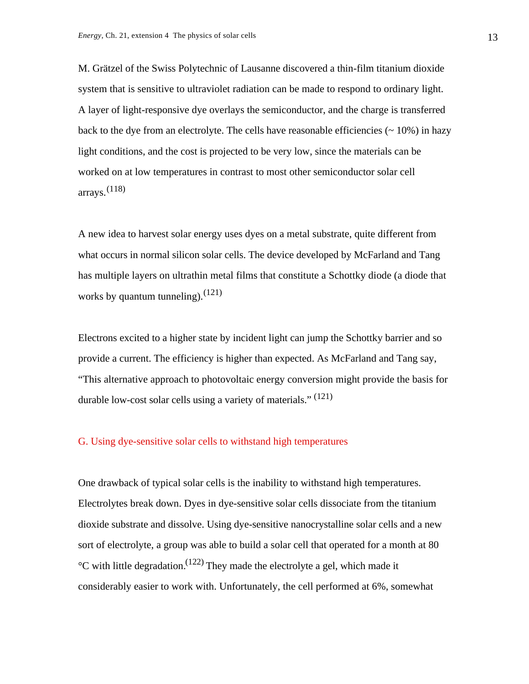M. Grätzel of the Swiss Polytechnic of Lausanne discovered a thin-film titanium dioxide system that is sensitive to ultraviolet radiation can be made to respond to ordinary light. A layer of light-responsive dye overlays the semiconductor, and the charge is transferred back to the dye from an electrolyte. The cells have reasonable efficiencies  $($   $\sim$  10% $)$  in hazy light conditions, and the cost is projected to be very low, since the materials can be worked on at low temperatures in contrast to most other semiconductor solar cell arrays.(118)

A new idea to harvest solar energy uses dyes on a metal substrate, quite different from what occurs in normal silicon solar cells. The device developed by McFarland and Tang has multiple layers on ultrathin metal films that constitute a Schottky diode (a diode that works by quantum tunneling).  $(121)$ 

Electrons excited to a higher state by incident light can jump the Schottky barrier and so provide a current. The efficiency is higher than expected. As McFarland and Tang say, "This alternative approach to photovoltaic energy conversion might provide the basis for durable low-cost solar cells using a variety of materials." (121)

# G. Using dye-sensitive solar cells to withstand high temperatures

One drawback of typical solar cells is the inability to withstand high temperatures. Electrolytes break down. Dyes in dye-sensitive solar cells dissociate from the titanium dioxide substrate and dissolve. Using dye-sensitive nanocrystalline solar cells and a new sort of electrolyte, a group was able to build a solar cell that operated for a month at 80  $\degree$ C with little degradation.<sup>(122)</sup> They made the electrolyte a gel, which made it considerably easier to work with. Unfortunately, the cell performed at 6%, somewhat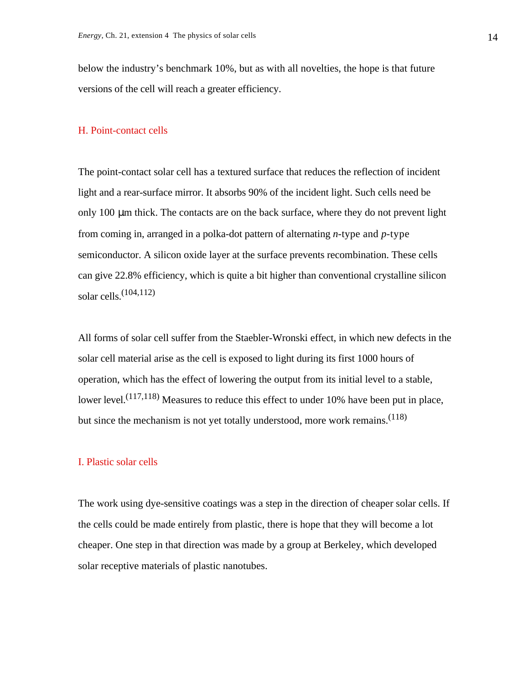below the industry's benchmark 10%, but as with all novelties, the hope is that future versions of the cell will reach a greater efficiency.

#### H. Point-contact cells

The point-contact solar cell has a textured surface that reduces the reflection of incident light and a rear-surface mirror. It absorbs 90% of the incident light. Such cells need be only 100 μm thick. The contacts are on the back surface, where they do not prevent light from coming in, arranged in a polka-dot pattern of alternating *n*-type and *p*-type semiconductor. A silicon oxide layer at the surface prevents recombination. These cells can give 22.8% efficiency, which is quite a bit higher than conventional crystalline silicon solar cells.(104,112)

All forms of solar cell suffer from the Staebler-Wronski effect, in which new defects in the solar cell material arise as the cell is exposed to light during its first 1000 hours of operation, which has the effect of lowering the output from its initial level to a stable, lower level.<sup>(117,118)</sup> Measures to reduce this effect to under 10% have been put in place, but since the mechanism is not yet totally understood, more work remains.  $(118)$ 

# I. Plastic solar cells

The work using dye-sensitive coatings was a step in the direction of cheaper solar cells. If the cells could be made entirely from plastic, there is hope that they will become a lot cheaper. One step in that direction was made by a group at Berkeley, which developed solar receptive materials of plastic nanotubes.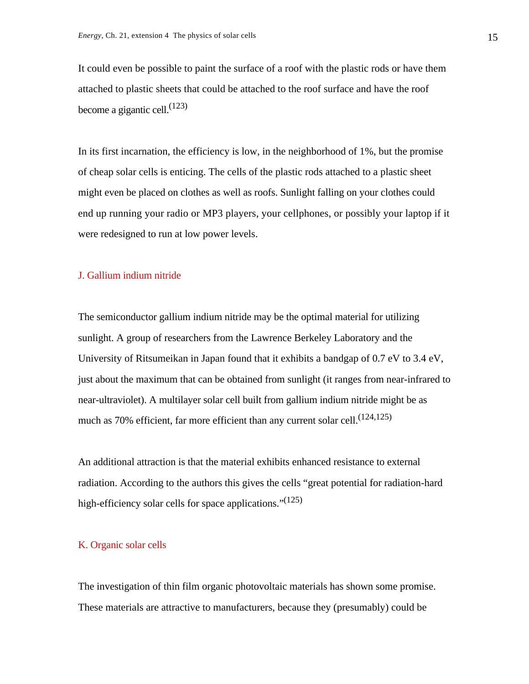It could even be possible to paint the surface of a roof with the plastic rods or have them attached to plastic sheets that could be attached to the roof surface and have the roof become a gigantic cell.<sup>(123)</sup>

In its first incarnation, the efficiency is low, in the neighborhood of 1%, but the promise of cheap solar cells is enticing. The cells of the plastic rods attached to a plastic sheet might even be placed on clothes as well as roofs. Sunlight falling on your clothes could end up running your radio or MP3 players, your cellphones, or possibly your laptop if it were redesigned to run at low power levels.

### J. Gallium indium nitride

The semiconductor gallium indium nitride may be the optimal material for utilizing sunlight. A group of researchers from the Lawrence Berkeley Laboratory and the University of Ritsumeikan in Japan found that it exhibits a bandgap of 0.7 eV to 3.4 eV, just about the maximum that can be obtained from sunlight (it ranges from near-infrared to near-ultraviolet). A multilayer solar cell built from gallium indium nitride might be as much as 70% efficient, far more efficient than any current solar cell.<sup>(124,125)</sup>

An additional attraction is that the material exhibits enhanced resistance to external radiation. According to the authors this gives the cells "great potential for radiation-hard high-efficiency solar cells for space applications." $(125)$ 

#### K. Organic solar cells

The investigation of thin film organic photovoltaic materials has shown some promise. These materials are attractive to manufacturers, because they (presumably) could be